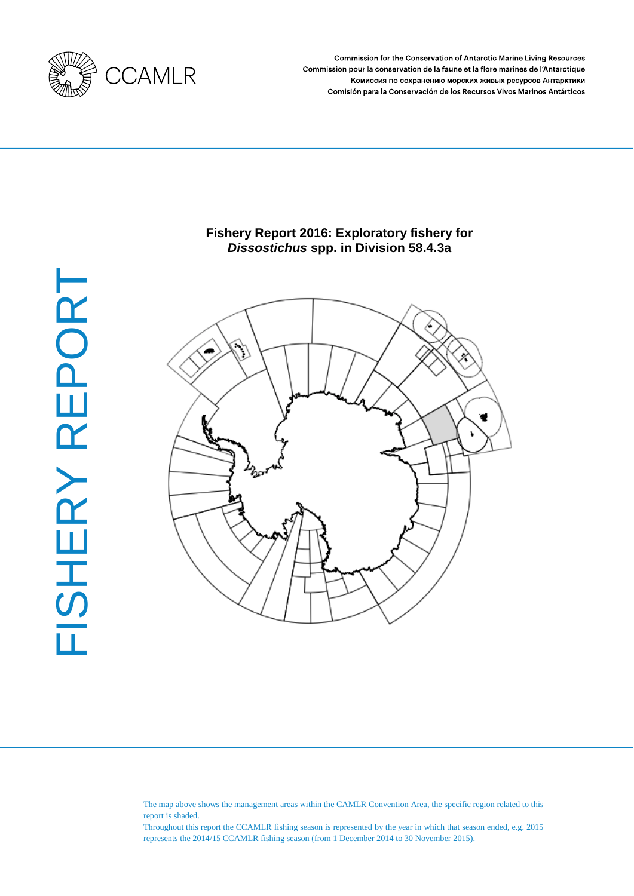

Commission for the Conservation of Antarctic Marine Living Resources Commission pour la conservation de la faune et la flore marines de l'Antarctique Комиссия по сохранению морских живых ресурсов Антарктики Comisión para la Conservación de los Recursos Vivos Marinos Antárticos

# **Fishery Report 2016: Exploratory fishery for**  *Dissostichus* **spp. in Division 58.4.3a**



The map above shows the management areas within the CAMLR Convention Area, the specific region related to this report is shaded.

Throughout this report the CCAMLR fishing season is represented by the year in which that season ended, e.g. 2015 represents the 2014/15 CCAMLR fishing season (from 1 December 2014 to 30 November 2015).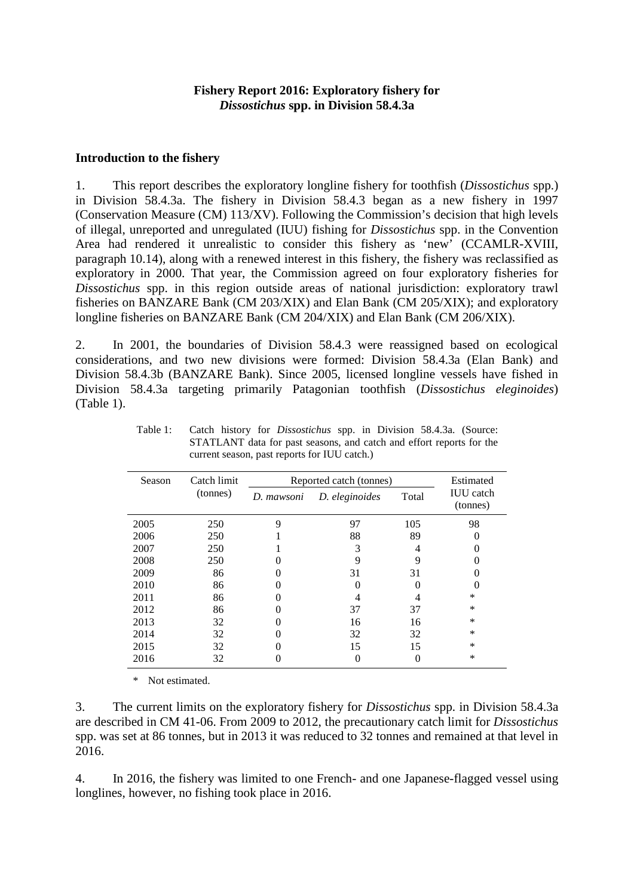## **Fishery Report 2016: Exploratory fishery for**  *Dissostichus* **spp. in Division 58.4.3a**

#### **Introduction to the fishery**

1. This report describes the exploratory longline fishery for toothfish (*Dissostichus* spp.) in Division 58.4.3a. The fishery in Division 58.4.3 began as a new fishery in 1997 (Conservation Measure (CM) 113/XV). Following the Commission's decision that high levels of illegal, unreported and unregulated (IUU) fishing for *Dissostichus* spp. in the Convention Area had rendered it unrealistic to consider this fishery as 'new' (CCAMLR-XVIII, paragraph 10.14), along with a renewed interest in this fishery, the fishery was reclassified as exploratory in 2000. That year, the Commission agreed on four exploratory fisheries for *Dissostichus* spp. in this region outside areas of national jurisdiction: exploratory trawl fisheries on BANZARE Bank (CM 203/XIX) and Elan Bank (CM 205/XIX); and exploratory longline fisheries on BANZARE Bank (CM 204/XIX) and Elan Bank (CM 206/XIX).

2. In 2001, the boundaries of Division 58.4.3 were reassigned based on ecological considerations, and two new divisions were formed: Division 58.4.3a (Elan Bank) and Division 58.4.3b (BANZARE Bank). Since 2005, licensed longline vessels have fished in Division 58.4.3a targeting primarily Patagonian toothfish (*Dissostichus eleginoides*) (Table 1).

| Season | Catch limit | Reported catch (tonnes) | Estimated      |       |                              |
|--------|-------------|-------------------------|----------------|-------|------------------------------|
|        | (tonnes)    | D. mawsoni              | D. eleginoides | Total | <b>IUU</b> catch<br>(tonnes) |
| 2005   | 250         | 9                       | 97             | 105   | 98                           |
| 2006   | 250         |                         | 88             | 89    |                              |
| 2007   | 250         |                         | 3              | 4     |                              |
| 2008   | 250         |                         |                | 9     |                              |
| 2009   | 86          |                         | 31             | 31    |                              |
| 2010   | 86          |                         |                |       |                              |
| 2011   | 86          |                         |                |       | $\ast$                       |
| 2012   | 86          |                         | 37             | 37    | *                            |
| 2013   | 32          |                         | 16             | 16    | *                            |
| 2014   | 32          |                         | 32             | 32    | *                            |
| 2015   | 32          |                         | 15             | 15    | $\ast$                       |
| 2016   | 32          |                         |                |       | $\ast$                       |

Table 1: Catch history for *Dissostichus* spp. in Division 58.4.3a. (Source: STATLANT data for past seasons, and catch and effort reports for the current season, past reports for IUU catch.)

\* Not estimated.

3. The current limits on the exploratory fishery for *Dissostichus* spp. in Division 58.4.3a are described in CM 41-06. From 2009 to 2012, the precautionary catch limit for *Dissostichus* spp. was set at 86 tonnes, but in 2013 it was reduced to 32 tonnes and remained at that level in 2016.

4. In 2016, the fishery was limited to one French- and one Japanese-flagged vessel using longlines, however, no fishing took place in 2016.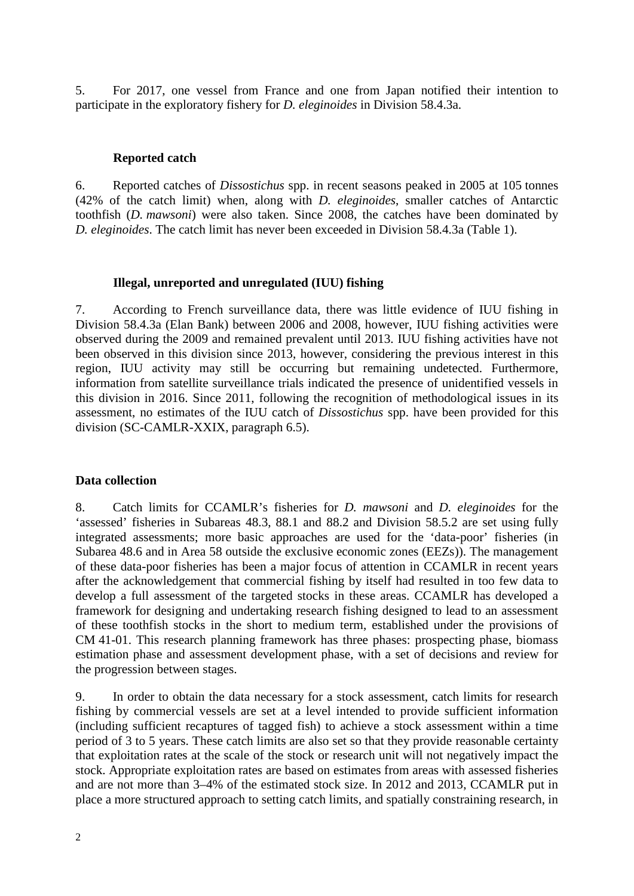5. For 2017, one vessel from France and one from Japan notified their intention to participate in the exploratory fishery for *D. eleginoides* in Division 58.4.3a.

## **Reported catch**

6. Reported catches of *Dissostichus* spp. in recent seasons peaked in 2005 at 105 tonnes (42% of the catch limit) when, along with *D. eleginoides*, smaller catches of Antarctic toothfish (*D. mawsoni*) were also taken. Since 2008, the catches have been dominated by *D. eleginoides*. The catch limit has never been exceeded in Division 58.4.3a (Table 1).

# **Illegal, unreported and unregulated (IUU) fishing**

7. According to French surveillance data, there was little evidence of IUU fishing in Division 58.4.3a (Elan Bank) between 2006 and 2008, however, IUU fishing activities were observed during the 2009 and remained prevalent until 2013. IUU fishing activities have not been observed in this division since 2013, however, considering the previous interest in this region, IUU activity may still be occurring but remaining undetected. Furthermore, information from satellite surveillance trials indicated the presence of unidentified vessels in this division in 2016. Since 2011, following the recognition of methodological issues in its assessment, no estimates of the IUU catch of *Dissostichus* spp. have been provided for this division (SC-CAMLR-XXIX, paragraph 6.5).

# **Data collection**

8. Catch limits for CCAMLR's fisheries for *D. mawsoni* and *D. eleginoides* for the 'assessed' fisheries in Subareas 48.3, 88.1 and 88.2 and Division 58.5.2 are set using fully integrated assessments; more basic approaches are used for the 'data-poor' fisheries (in Subarea 48.6 and in Area 58 outside the exclusive economic zones (EEZs)). The management of these data-poor fisheries has been a major focus of attention in CCAMLR in recent years after the acknowledgement that commercial fishing by itself had resulted in too few data to develop a full assessment of the targeted stocks in these areas. CCAMLR has developed a framework for designing and undertaking research fishing designed to lead to an assessment of these toothfish stocks in the short to medium term, established under the provisions of CM 41-01. This research planning framework has three phases: prospecting phase, biomass estimation phase and assessment development phase, with a set of decisions and review for the progression between stages.

9. In order to obtain the data necessary for a stock assessment, catch limits for research fishing by commercial vessels are set at a level intended to provide sufficient information (including sufficient recaptures of tagged fish) to achieve a stock assessment within a time period of 3 to 5 years. These catch limits are also set so that they provide reasonable certainty that exploitation rates at the scale of the stock or research unit will not negatively impact the stock. Appropriate exploitation rates are based on estimates from areas with assessed fisheries and are not more than 3–4% of the estimated stock size. In 2012 and 2013, CCAMLR put in place a more structured approach to setting catch limits, and spatially constraining research, in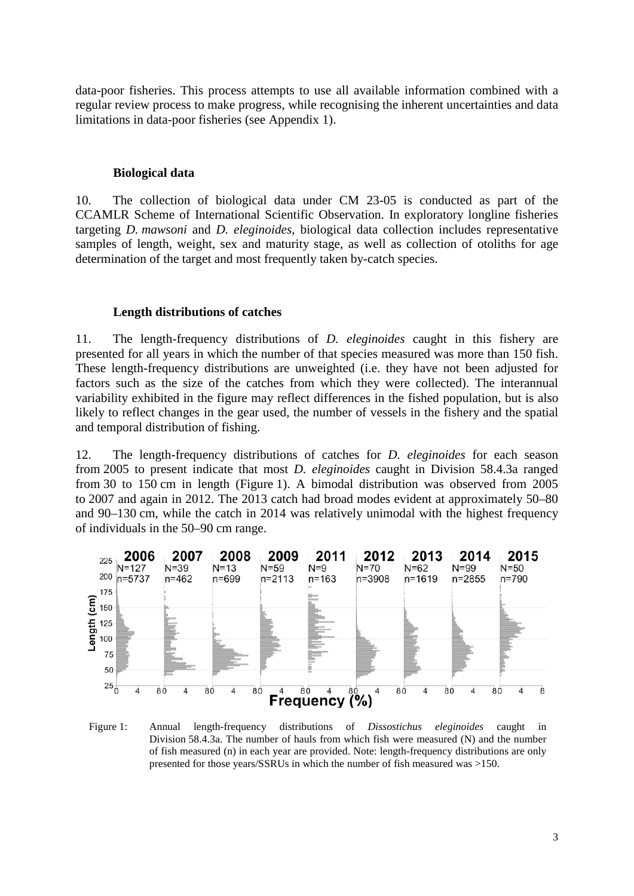data-poor fisheries. This process attempts to use all available information combined with a regular review process to make progress, while recognising the inherent uncertainties and data limitations in data-poor fisheries (see Appendix 1).

#### **Biological data**

10. The collection of biological data under CM 23-05 is conducted as part of the CCAMLR Scheme of International Scientific Observation. In exploratory longline fisheries targeting *D. mawsoni* and *D. eleginoides*, biological data collection includes representative samples of length, weight, sex and maturity stage, as well as collection of otoliths for age determination of the target and most frequently taken by-catch species.

#### **Length distributions of catches**

11. The length-frequency distributions of *D. eleginoides* caught in this fishery are presented for all years in which the number of that species measured was more than 150 fish. These length-frequency distributions are unweighted (i.e. they have not been adjusted for factors such as the size of the catches from which they were collected). The interannual variability exhibited in the figure may reflect differences in the fished population, but is also likely to reflect changes in the gear used, the number of vessels in the fishery and the spatial and temporal distribution of fishing.

12. The length-frequency distributions of catches for *D. eleginoides* for each season from 2005 to present indicate that most *D. eleginoides* caught in Division 58.4.3a ranged from 30 to 150 cm in length (Figure 1). A bimodal distribution was observed from 2005 to 2007 and again in 2012. The 2013 catch had broad modes evident at approximately 50–80 and 90–130 cm, while the catch in 2014 was relatively unimodal with the highest frequency of individuals in the 50–90 cm range.



Figure 1: Annual length-frequency distributions of *Dissostichus eleginoides* caught in Division 58.4.3a. The number of hauls from which fish were measured (N) and the number of fish measured (n) in each year are provided. Note: length-frequency distributions are only presented for those years/SSRUs in which the number of fish measured was >150.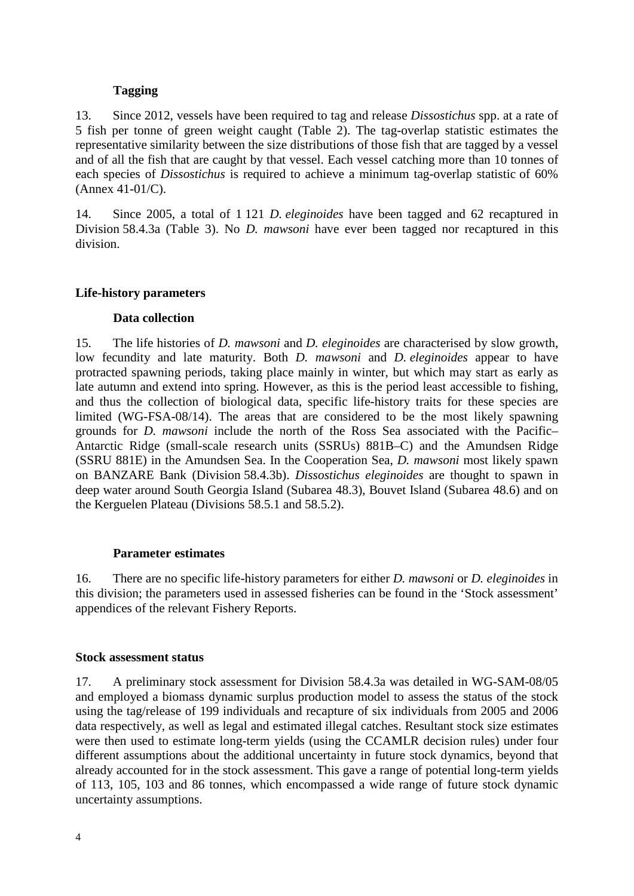# **Tagging**

13. Since 2012, vessels have been required to tag and release *Dissostichus* spp. at a rate of 5 fish per tonne of green weight caught (Table 2). The tag-overlap statistic estimates the representative similarity between the size distributions of those fish that are tagged by a vessel and of all the fish that are caught by that vessel. Each vessel catching more than 10 tonnes of each species of *Dissostichus* is required to achieve a minimum tag-overlap statistic of 60% (Annex 41-01/C).

14. Since 2005, a total of 1 121 *D. eleginoides* have been tagged and 62 recaptured in Division 58.4.3a (Table 3). No *D. mawsoni* have ever been tagged nor recaptured in this division.

# **Life-history parameters**

# **Data collection**

15. The life histories of *D. mawsoni* and *D. eleginoides* are characterised by slow growth, low fecundity and late maturity. Both *D. mawsoni* and *D. eleginoides* appear to have protracted spawning periods, taking place mainly in winter, but which may start as early as late autumn and extend into spring. However, as this is the period least accessible to fishing, and thus the collection of biological data, specific life-history traits for these species are limited (WG-FSA-08/14). The areas that are considered to be the most likely spawning grounds for *D. mawsoni* include the north of the Ross Sea associated with the Pacific– Antarctic Ridge (small-scale research units (SSRUs) 881B–C) and the Amundsen Ridge (SSRU 881E) in the Amundsen Sea. In the Cooperation Sea, *D. mawsoni* most likely spawn on BANZARE Bank (Division 58.4.3b). *Dissostichus eleginoides* are thought to spawn in deep water around South Georgia Island (Subarea 48.3), Bouvet Island (Subarea 48.6) and on the Kerguelen Plateau (Divisions 58.5.1 and 58.5.2).

#### **Parameter estimates**

16. There are no specific life-history parameters for either *D. mawsoni* or *D. eleginoides* in this division; the parameters used in assessed fisheries can be found in the 'Stock assessment' appendices of the relevant Fishery Reports.

#### **Stock assessment status**

17. A preliminary stock assessment for Division 58.4.3a was detailed in WG-SAM-08/05 and employed a biomass dynamic surplus production model to assess the status of the stock using the tag/release of 199 individuals and recapture of six individuals from 2005 and 2006 data respectively, as well as legal and estimated illegal catches. Resultant stock size estimates were then used to estimate long-term yields (using the CCAMLR decision rules) under four different assumptions about the additional uncertainty in future stock dynamics, beyond that already accounted for in the stock assessment. This gave a range of potential long-term yields of 113, 105, 103 and 86 tonnes, which encompassed a wide range of future stock dynamic uncertainty assumptions.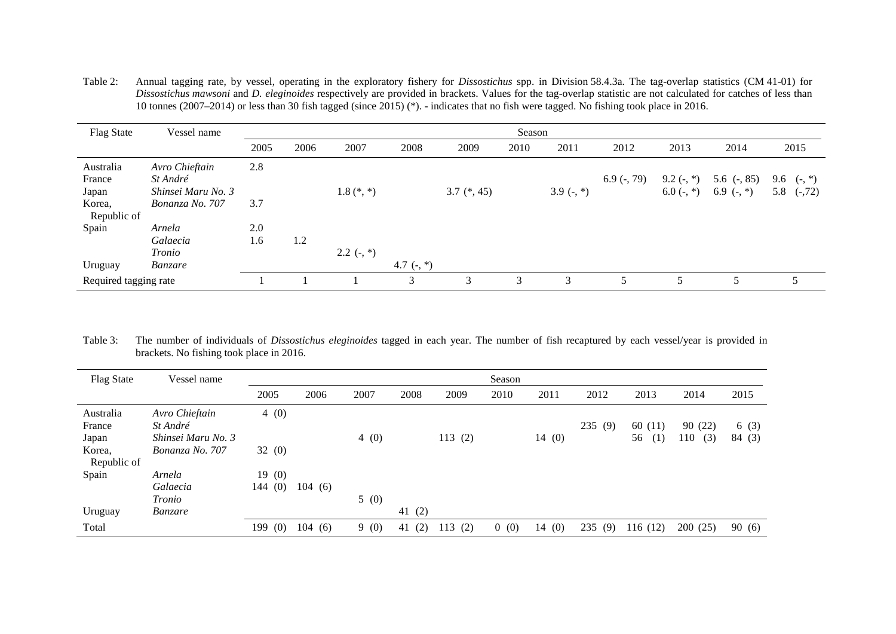Table 2: Annual tagging rate, by vessel, operating in the exploratory fishery for *Dissostichus* spp. in Division 58.4.3a. The tag-overlap statistics (CM 41-01) for *Dissostichus mawsoni* and *D. eleginoides* respectively are provided in brackets. Values for the tag-overlap statistic are not calculated for catches of less than 10 tonnes (2007–2014) or less than 30 fish tagged (since 2015) (\*). - indicates that no fish were tagged. No fishing took place in 2016.

| <b>Flag State</b>                      | Vessel name                                                         | Season     |      |              |                           |               |      |              |               |                                |                                  |                                      |
|----------------------------------------|---------------------------------------------------------------------|------------|------|--------------|---------------------------|---------------|------|--------------|---------------|--------------------------------|----------------------------------|--------------------------------------|
|                                        |                                                                     | 2005       | 2006 | 2007         | 2008                      | 2009          | 2010 | 2011         | 2012          | 2013                           | 2014                             | 2015                                 |
| Australia<br>France<br>Japan<br>Korea, | Avro Chieftain<br>St André<br>Shinsei Maru No. 3<br>Bonanza No. 707 | 2.8<br>3.7 |      | $1.8$ (*, *) |                           | $3.7$ (*, 45) |      | 3.9 $(-, *)$ | $6.9$ (-, 79) | $9.2$ (-, $*)$<br>6.0 $(-, *)$ | 5.6 $(-, 85)$<br>6.9 $($ -, $*)$ | 9.6<br>$(-, * )$<br>5.8<br>$(-, 72)$ |
| Republic of<br>Spain<br>Uruguay        | Arnela<br>Galaecia<br>Tronio<br>Banzare                             | 2.0<br>1.6 | 1.2  | $2.2$ (-, *) | 4.7 $\left( -, * \right)$ |               |      |              |               |                                |                                  |                                      |
| Required tagging rate                  |                                                                     |            |      |              | 3                         | 3             | 3    | 3            | 5             |                                | 5                                |                                      |

Table 3: The number of individuals of *Dissostichus eleginoides* tagged in each year. The number of fish recaptured by each vessel/year is provided in brackets. No fishing took place in 2016.

| <b>Flag State</b> | Vessel name        | Season |        |      |           |            |                       |       |            |           |            |        |
|-------------------|--------------------|--------|--------|------|-----------|------------|-----------------------|-------|------------|-----------|------------|--------|
|                   |                    | 2005   | 2006   | 2007 | 2008      | 2009       | 2010                  | 2011  | 2012       | 2013      | 2014       | 2015   |
| Australia         | Avro Chieftain     | 4(0)   |        |      |           |            |                       |       |            |           |            |        |
| France            | St André           |        |        |      |           |            |                       |       | (9)<br>235 | 60(11)    | 90(22)     | 6(3)   |
| Japan             | Shinsei Maru No. 3 |        |        | 4(0) |           | 113(2)     |                       | 14(0) |            | 56<br>(1) | 110<br>(3) | 84 (3) |
| Korea.            | Bonanza No. 707    | 32(0)  |        |      |           |            |                       |       |            |           |            |        |
| Republic of       |                    |        |        |      |           |            |                       |       |            |           |            |        |
| Spain             | Arnela             | 19(0)  |        |      |           |            |                       |       |            |           |            |        |
|                   | Galaecia           | 144(0) | 104(6) |      |           |            |                       |       |            |           |            |        |
|                   | Tronio             |        |        | 5(0) |           |            |                       |       |            |           |            |        |
| Uruguay           | <i>Banzare</i>     |        |        |      | 41 $(2)$  |            |                       |       |            |           |            |        |
| Total             |                    | 199(0) | 104(6) | 9(0) | (2)<br>41 | (2)<br>113 | (0)<br>$\overline{0}$ | 14(0) | 235<br>(9) | 116(12)   | 200(25)    | 90(6)  |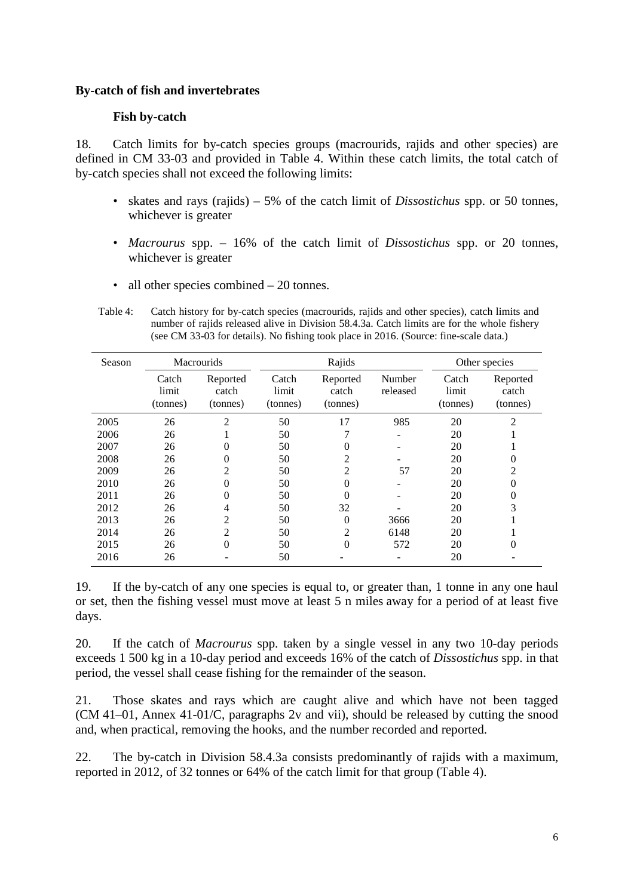### **By-catch of fish and invertebrates**

# **Fish by-catch**

18. Catch limits for by-catch species groups (macrourids, rajids and other species) are defined in CM 33-03 and provided in Table 4. Within these catch limits, the total catch of by-catch species shall not exceed the following limits:

- skates and rays (rajids) 5% of the catch limit of *Dissostichus* spp. or 50 tonnes, whichever is greater
- *Macrourus* spp. 16% of the catch limit of *Dissostichus* spp. or 20 tonnes, whichever is greater
- all other species combined 20 tonnes.

Table 4: Catch history for by-catch species (macrourids, rajids and other species), catch limits and number of rajids released alive in Division 58.4.3a. Catch limits are for the whole fishery (see CM 33-03 for details). No fishing took place in 2016. (Source: fine-scale data.)

| Season |                            | <b>Macrourids</b>             |                            | Rajids                        | Other species      |                            |                               |
|--------|----------------------------|-------------------------------|----------------------------|-------------------------------|--------------------|----------------------------|-------------------------------|
|        | Catch<br>limit<br>(tonnes) | Reported<br>catch<br>(tonnes) | Catch<br>limit<br>(tonnes) | Reported<br>catch<br>(tonnes) | Number<br>released | Catch<br>limit<br>(tonnes) | Reported<br>catch<br>(tonnes) |
| 2005   | 26                         | 2                             | 50                         | 17                            | 985                | 20                         | $\overline{2}$                |
| 2006   | 26                         |                               | 50                         | 7                             |                    | 20                         |                               |
| 2007   | 26                         | $\theta$                      | 50                         | 0                             |                    | 20                         |                               |
| 2008   | 26                         | $\overline{0}$                | 50                         | 2                             |                    | 20                         |                               |
| 2009   | 26                         | $\overline{c}$                | 50                         | 2                             | 57                 | 20                         | $\mathcal{D}_{\mathcal{A}}$   |
| 2010   | 26                         | $\theta$                      | 50                         | 0                             |                    | 20                         |                               |
| 2011   | 26                         | $\Omega$                      | 50                         | 0                             |                    | 20                         |                               |
| 2012   | 26                         | 4                             | 50                         | 32                            |                    | 20                         | 3                             |
| 2013   | 26                         | 2                             | 50                         | $\overline{0}$                | 3666               | 20                         |                               |
| 2014   | 26                         | $\overline{2}$                | 50                         | 2                             | 6148               | 20                         |                               |
| 2015   | 26                         | $\overline{0}$                | 50                         | $\overline{0}$                | 572                | 20                         | 0                             |
| 2016   | 26                         |                               | 50                         |                               |                    | 20                         |                               |

19. If the by-catch of any one species is equal to, or greater than, 1 tonne in any one haul or set, then the fishing vessel must move at least 5 n miles away for a period of at least five days.

20. If the catch of *Macrourus* spp. taken by a single vessel in any two 10-day periods exceeds 1 500 kg in a 10-day period and exceeds 16% of the catch of *Dissostichus* spp. in that period, the vessel shall cease fishing for the remainder of the season.

21. Those skates and rays which are caught alive and which have not been tagged (CM 41–01, Annex 41-01/C, paragraphs 2v and vii), should be released by cutting the snood and, when practical, removing the hooks, and the number recorded and reported.

22. The by-catch in Division 58.4.3a consists predominantly of rajids with a maximum, reported in 2012, of 32 tonnes or 64% of the catch limit for that group (Table 4).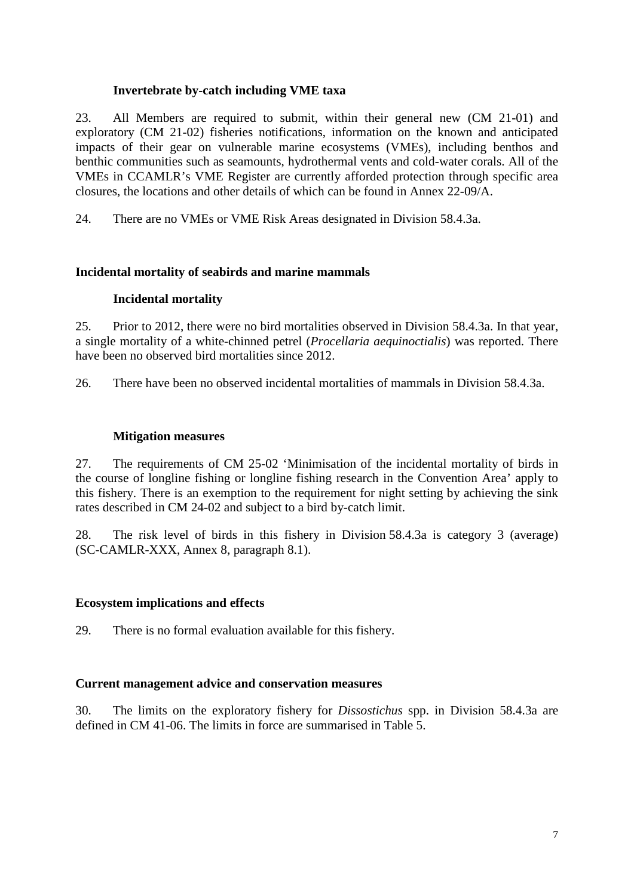## **Invertebrate by-catch including VME taxa**

23. All Members are required to submit, within their general new (CM 21-01) and exploratory (CM 21-02) fisheries notifications, information on the known and anticipated impacts of their gear on vulnerable marine ecosystems (VMEs), including benthos and benthic communities such as seamounts, hydrothermal vents and cold-water corals. All of the VMEs in CCAMLR's VME Register are currently afforded protection through specific area closures, the locations and other details of which can be found in Annex 22-09/A.

24. There are no VMEs or VME Risk Areas designated in Division 58.4.3a.

# **Incidental mortality of seabirds and marine mammals**

# **Incidental mortality**

25. Prior to 2012, there were no bird mortalities observed in Division 58.4.3a. In that year, a single mortality of a white-chinned petrel (*Procellaria aequinoctialis*) was reported. There have been no observed bird mortalities since 2012.

26. There have been no observed incidental mortalities of mammals in Division 58.4.3a.

# **Mitigation measures**

27. The requirements of CM 25-02 'Minimisation of the incidental mortality of birds in the course of longline fishing or longline fishing research in the Convention Area' apply to this fishery. There is an exemption to the requirement for night setting by achieving the sink rates described in CM 24-02 and subject to a bird by-catch limit.

28. The risk level of birds in this fishery in Division 58.4.3a is category 3 (average) (SC-CAMLR-XXX, Annex 8, paragraph 8.1).

#### **Ecosystem implications and effects**

29. There is no formal evaluation available for this fishery.

#### **Current management advice and conservation measures**

30. The limits on the exploratory fishery for *Dissostichus* spp. in Division 58.4.3a are defined in CM 41-06. The limits in force are summarised in Table 5.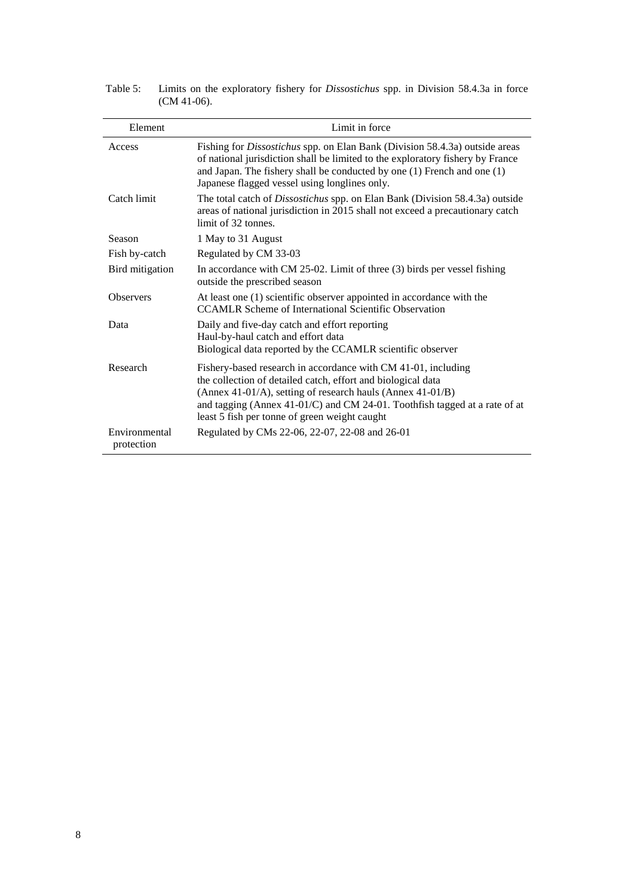| Element                     | Limit in force                                                                                                                                                                                                                                                                                                             |
|-----------------------------|----------------------------------------------------------------------------------------------------------------------------------------------------------------------------------------------------------------------------------------------------------------------------------------------------------------------------|
| Access                      | Fishing for Dissostichus spp. on Elan Bank (Division 58.4.3a) outside areas<br>of national jurisdiction shall be limited to the exploratory fishery by France<br>and Japan. The fishery shall be conducted by one $(1)$ French and one $(1)$<br>Japanese flagged vessel using longlines only.                              |
| Catch limit                 | The total catch of <i>Dissostichus</i> spp. on Elan Bank (Division 58.4.3a) outside<br>areas of national jurisdiction in 2015 shall not exceed a precautionary catch<br>limit of 32 tonnes.                                                                                                                                |
| Season                      | 1 May to 31 August                                                                                                                                                                                                                                                                                                         |
| Fish by-catch               | Regulated by CM 33-03                                                                                                                                                                                                                                                                                                      |
| Bird mitigation             | In accordance with CM $25-02$ . Limit of three (3) birds per vessel fishing<br>outside the prescribed season                                                                                                                                                                                                               |
| <b>Observers</b>            | At least one (1) scientific observer appointed in accordance with the<br><b>CCAMLR Scheme of International Scientific Observation</b>                                                                                                                                                                                      |
| Data                        | Daily and five-day catch and effort reporting<br>Haul-by-haul catch and effort data<br>Biological data reported by the CCAMLR scientific observer                                                                                                                                                                          |
| Research                    | Fishery-based research in accordance with CM 41-01, including<br>the collection of detailed catch, effort and biological data<br>(Annex 41-01/A), setting of research hauls (Annex 41-01/B)<br>and tagging (Annex 41-01/C) and CM 24-01. Toothfish tagged at a rate of at<br>least 5 fish per tonne of green weight caught |
| Environmental<br>protection | Regulated by CMs 22-06, 22-07, 22-08 and 26-01                                                                                                                                                                                                                                                                             |

Table 5: Limits on the exploratory fishery for *Dissostichus* spp. in Division 58.4.3a in force (CM 41-06).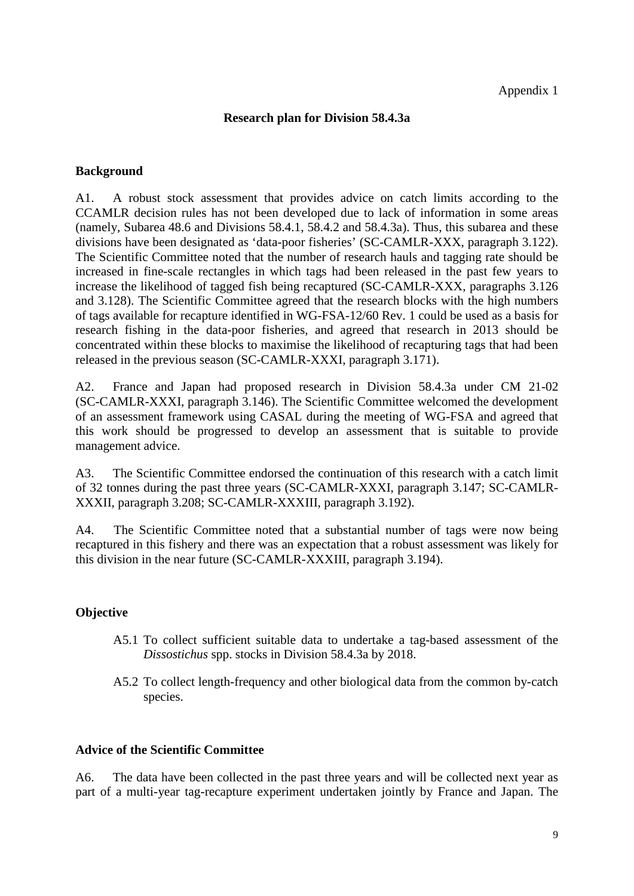# **Research plan for Division 58.4.3a**

## **Background**

A1. A robust stock assessment that provides advice on catch limits according to the CCAMLR decision rules has not been developed due to lack of information in some areas (namely, Subarea 48.6 and Divisions 58.4.1, 58.4.2 and 58.4.3a). Thus, this subarea and these divisions have been designated as 'data-poor fisheries' (SC-CAMLR-XXX, paragraph 3.122). The Scientific Committee noted that the number of research hauls and tagging rate should be increased in fine-scale rectangles in which tags had been released in the past few years to increase the likelihood of tagged fish being recaptured (SC-CAMLR-XXX, paragraphs 3.126 and 3.128). The Scientific Committee agreed that the research blocks with the high numbers of tags available for recapture identified in WG-FSA-12/60 Rev. 1 could be used as a basis for research fishing in the data-poor fisheries, and agreed that research in 2013 should be concentrated within these blocks to maximise the likelihood of recapturing tags that had been released in the previous season (SC-CAMLR-XXXI, paragraph 3.171).

A2. France and Japan had proposed research in Division 58.4.3a under CM 21-02 (SC-CAMLR-XXXI, paragraph 3.146). The Scientific Committee welcomed the development of an assessment framework using CASAL during the meeting of WG-FSA and agreed that this work should be progressed to develop an assessment that is suitable to provide management advice.

A3. The Scientific Committee endorsed the continuation of this research with a catch limit of 32 tonnes during the past three years (SC-CAMLR-XXXI, paragraph 3.147; SC-CAMLR-XXXII, paragraph 3.208; SC-CAMLR-XXXIII, paragraph 3.192).

A4. The Scientific Committee noted that a substantial number of tags were now being recaptured in this fishery and there was an expectation that a robust assessment was likely for this division in the near future (SC-CAMLR-XXXIII, paragraph 3.194).

#### **Objective**

- A5.1 To collect sufficient suitable data to undertake a tag-based assessment of the *Dissostichus* spp. stocks in Division 58.4.3a by 2018.
- A5.2 To collect length-frequency and other biological data from the common by-catch species.

#### **Advice of the Scientific Committee**

A6. The data have been collected in the past three years and will be collected next year as part of a multi-year tag-recapture experiment undertaken jointly by France and Japan. The